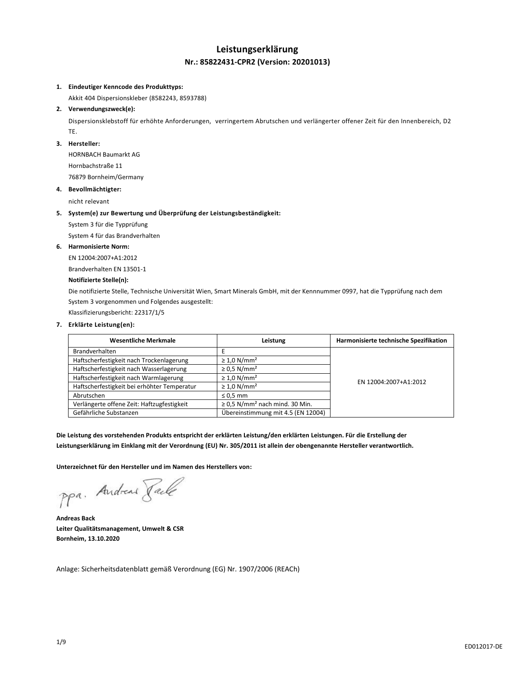# **Leistungserklärung Nr.: 85822431-CPR2 (Version: 20201013)**

### **1. Eindeutiger Kenncode des Produkttyps:**

Akkit 404 Dispersionskleber (8582243, 8593788)

## **2. Verwendungszweck(e):**

Dispersionsklebstoff für erhöhte Anforderungen, verringertem Abrutschen und verlängerter offener Zeit für den Innenbereich, D2 TE.

## **3. Hersteller:**

HORNBACH Baumarkt AG Hornbachstraße 11 76879 Bornheim/Germany

#### **4. Bevollmächtigter:**

nicht relevant

#### **5. System(e) zur Bewertung und Überprüfung der Leistungsbeständigkeit:**

System 3 für die Typprüfung

System 4 für das Brandverhalten

#### **6. Harmonisierte Norm:**

EN 12004:2007+A1:2012

Brandverhalten EN 13501-1

# **Notifizierte Stelle(n):**

Die notifizierte Stelle, Technische Universität Wien, Smart Minerals GmbH, mit der Kennnummer 0997, hat die Typprüfung nach dem System 3 vorgenommen und Folgendes ausgestellt:

Klassifizierungsbericht: 22317/1/5

# **7. Erklärte Leistung(en):**

| <b>Wesentliche Merkmale</b>                 | Leistung                                        | Harmonisierte technische Spezifikation |
|---------------------------------------------|-------------------------------------------------|----------------------------------------|
| <b>Brandverhalten</b>                       |                                                 |                                        |
| Haftscherfestigkeit nach Trockenlagerung    | $\geq 1.0$ N/mm <sup>2</sup>                    |                                        |
| Haftscherfestigkeit nach Wasserlagerung     | $\geq$ 0.5 N/mm <sup>2</sup>                    | EN 12004:2007+A1:2012                  |
| Haftscherfestigkeit nach Warmlagerung       | $\geq 1.0$ N/mm <sup>2</sup>                    |                                        |
| Haftscherfestigkeit bei erhöhter Temperatur | $\geq 1.0$ N/mm <sup>2</sup>                    |                                        |
| Abrutschen                                  | $\leq 0.5$ mm                                   |                                        |
| Verlängerte offene Zeit: Haftzugfestigkeit  | $\geq$ 0,5 N/mm <sup>2</sup> nach mind. 30 Min. |                                        |
| Gefährliche Substanzen                      | Übereinstimmung mit 4.5 (EN 12004)              |                                        |

**Die Leistung des vorstehenden Produkts entspricht der erklärten Leistung/den erklärten Leistungen. Für die Erstellung der Leistungserklärung im Einklang mit der Verordnung (EU) Nr. 305/2011 ist allein der obengenannte Hersteller verantwortlich.**

**Unterzeichnet für den Hersteller und im Namen des Herstellers von:**

ppa. Andreas Faile

**Andreas Back Leiter Qualitätsmanagement, Umwelt & CSR Bornheim, 13.10.2020**

Anlage: Sicherheitsdatenblatt gemäß Verordnung (EG) Nr. 1907/2006 (REACh)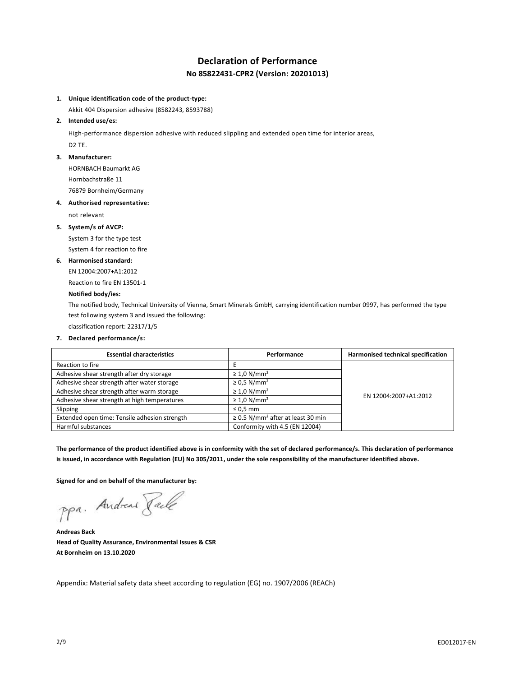# **Declaration of Performance No 85822431-CPR2 (Version: 20201013)**

## **1. Unique identification code of the product-type:**

Akkit 404 Dispersion adhesive (8582243, 8593788)

#### **2. Intended use/es:**

High-performance dispersion adhesive with reduced slippling and extended open time for interior areas, D2 TE.

#### **3. Manufacturer:**

HORNBACH Baumarkt AG Hornbachstraße 11

76879 Bornheim/Germany

# **4. Authorised representative:**

not relevant

## **5. System/s of AVCP:**

System 3 for the type test System 4 for reaction to fire

#### **6. Harmonised standard:**

EN 12004:2007+A1:2012

Reaction to fire EN 13501-1

# **Notified body/ies:**

The notified body, Technical University of Vienna, Smart Minerals GmbH, carrying identification number 0997, has performed the type test following system 3 and issued the following:

classification report: 22317/1/5

# **7. Declared performance/s:**

| <b>Essential characteristics</b>              | Performance                                        | Harmonised technical specification |
|-----------------------------------------------|----------------------------------------------------|------------------------------------|
| Reaction to fire                              |                                                    |                                    |
| Adhesive shear strength after dry storage     | $\geq 1.0$ N/mm <sup>2</sup>                       | EN 12004:2007+A1:2012              |
| Adhesive shear strength after water storage   | $\geq$ 0.5 N/mm <sup>2</sup>                       |                                    |
| Adhesive shear strength after warm storage    | $\geq 1.0$ N/mm <sup>2</sup>                       |                                    |
| Adhesive shear strength at high temperatures  | $\geq 1.0$ N/mm <sup>2</sup>                       |                                    |
| Slipping                                      | $\leq 0.5$ mm                                      |                                    |
| Extended open time: Tensile adhesion strength | $\geq$ 0.5 N/mm <sup>2</sup> after at least 30 min |                                    |
| Harmful substances                            | Conformity with 4.5 (EN 12004)                     |                                    |

**The performance of the product identified above is in conformity with the set of declared performance/s. This declaration of performance is issued, in accordance with Regulation (EU) No 305/2011, under the sole responsibility of the manufacturer identified above.**

**Signed for and on behalf of the manufacturer by:**

ppa. Andreas Pale

**Andreas Back Head of Quality Assurance, Environmental Issues & CSR At Bornheim on 13.10.2020**

Appendix: Material safety data sheet according to regulation (EG) no. 1907/2006 (REACh)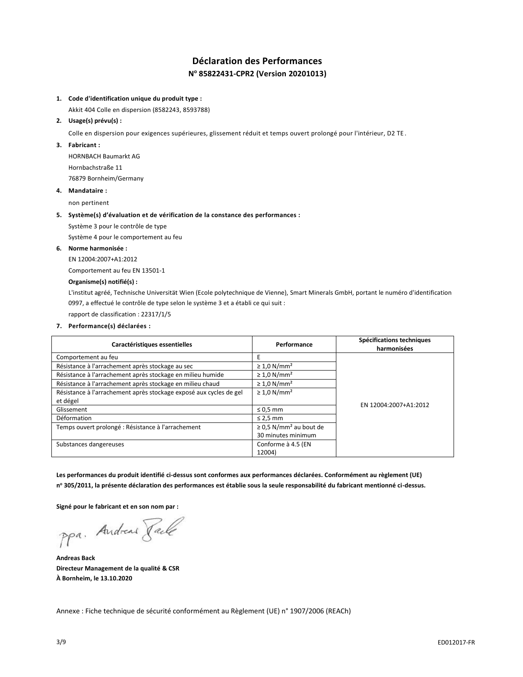# **Déclaration des Performances N <sup>o</sup> 85822431-CPR2 (Version 20201013)**

# **1. Code d'identification unique du produit type :**

Akkit 404 Colle en dispersion (8582243, 8593788)

# **2. Usage(s) prévu(s) :**

Colle en dispersion pour exigences supérieures, glissement réduit et temps ouvert prolongé pour l'intérieur, D2 TE .

# **3. Fabricant :**

HORNBACH Baumarkt AG Hornbachstraße 11 76879 Bornheim/Germany

## **4. Mandataire :**

non pertinent

## **5. Système(s) d'évaluation et de vérification de la constance des performances :**

Système 3 pour le contrôle de type

Système 4 pour le comportement au feu

# **6. Norme harmonisée :**

EN 12004:2007+A1:2012

Comportement au feu EN 13501-1

# **Organisme(s) notifié(s) :**

L'institut agréé, Technische Universität Wien (Ecole polytechnique de Vienne), Smart Minerals GmbH, portant le numéro d'identification 0997, a effectué le contrôle de type selon le système 3 et a établi ce qui suit :

rapport de classification : 22317/1/5

**7. Performance(s) déclarées :**

| Caractéristiques essentielles                                      | Performance                             | Spécifications techniques<br>harmonisées |
|--------------------------------------------------------------------|-----------------------------------------|------------------------------------------|
| Comportement au feu                                                |                                         |                                          |
| Résistance à l'arrachement après stockage au sec                   | $\geq 1.0$ N/mm <sup>2</sup>            |                                          |
| Résistance à l'arrachement après stockage en milieu humide         | $\geq 1.0$ N/mm <sup>2</sup>            |                                          |
| Résistance à l'arrachement après stockage en milieu chaud          | $\geq 1.0$ N/mm <sup>2</sup>            |                                          |
| Résistance à l'arrachement après stockage exposé aux cycles de gel | $\geq 1.0$ N/mm <sup>2</sup>            |                                          |
| et dégel                                                           |                                         | EN 12004:2007+A1:2012                    |
| Glissement                                                         | $\leq 0.5$ mm                           |                                          |
| Déformation                                                        | $\leq$ 2,5 mm                           |                                          |
| Temps ouvert prolongé : Résistance à l'arrachement                 | $\geq$ 0,5 N/mm <sup>2</sup> au bout de |                                          |
|                                                                    | 30 minutes minimum                      |                                          |
| Substances dangereuses                                             | Conforme à 4.5 (EN                      |                                          |
|                                                                    | 12004)                                  |                                          |

**Les performances du produit identifié ci-dessus sont conformes aux performances déclarées. Conformément au règlement (UE) n <sup>o</sup> 305/2011, la présente déclaration des performances est établie sous la seule responsabilité du fabricant mentionné ci-dessus.**

**Signé pour le fabricant et en son nom par :**

ppa. Andreas Paule

**Andreas Back Directeur Management de la qualité & CSR À Bornheim, le 13.10.2020**

Annexe : Fiche technique de sécurité conformément au Règlement (UE) n° 1907/2006 (REACh)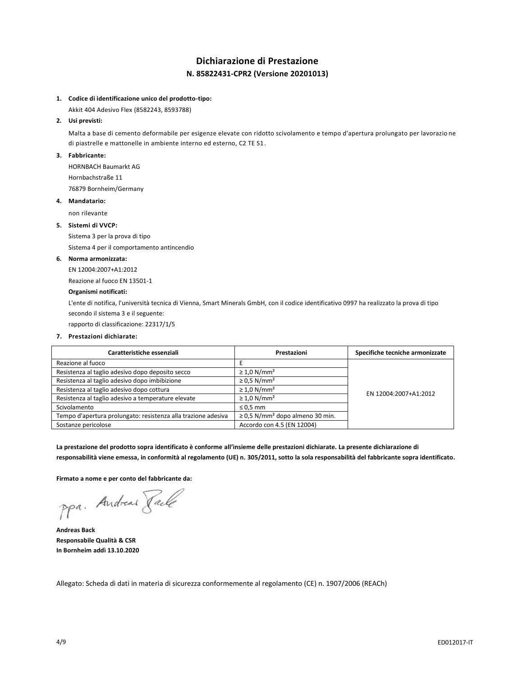# **Dichiarazione di Prestazione N. 85822431-CPR2 (Versione 20201013)**

# **1. Codice di identificazione unico del prodotto-tipo:**

Akkit 404 Adesivo Flex (8582243, 8593788)

# **2. Usi previsti:**

Malta a base di cemento deformabile per esigenze elevate con ridotto scivolamento e tempo d'apertura prolungato per lavorazio ne di piastrelle e mattonelle in ambiente interno ed esterno, C2 TE S1.

#### **3. Fabbricante:**

HORNBACH Baumarkt AG Hornbachstraße 11

76879 Bornheim/Germany

#### **4. Mandatario:**

non rilevante

# **5. Sistemi di VVCP:**

Sistema 3 per la prova di tipo

Sistema 4 per il comportamento antincendio

### **6. Norma armonizzata:**

EN 12004:2007+A1:2012

Reazione al fuoco EN 13501-1

# **Organismi notificati:**

L'ente di notifica, l'università tecnica di Vienna, Smart Minerals GmbH, con il codice identificativo 0997 ha realizzato la prova di tipo secondo il sistema 3 e il seguente:

rapporto di classificazione: 22317/1/5

#### **7. Prestazioni dichiarate:**

| Caratteristiche essenziali                                    | Prestazioni                                      | Specifiche tecniche armonizzate |
|---------------------------------------------------------------|--------------------------------------------------|---------------------------------|
| Reazione al fuoco                                             |                                                  |                                 |
| Resistenza al taglio adesivo dopo deposito secco              | $\geq 1.0$ N/mm <sup>2</sup>                     |                                 |
| Resistenza al taglio adesivo dopo imbibizione                 | $\geq$ 0.5 N/mm <sup>2</sup>                     | EN 12004:2007+A1:2012           |
| Resistenza al taglio adesivo dopo cottura                     | $\geq 1.0$ N/mm <sup>2</sup>                     |                                 |
| Resistenza al taglio adesivo a temperature elevate            | $\geq 1.0$ N/mm <sup>2</sup>                     |                                 |
| Scivolamento                                                  | $\leq 0.5$ mm                                    |                                 |
| Tempo d'apertura prolungato: resistenza alla trazione adesiva | $\geq$ 0,5 N/mm <sup>2</sup> dopo almeno 30 min. |                                 |
| Sostanze pericolose                                           | Accordo con 4.5 (EN 12004)                       |                                 |

**La prestazione del prodotto sopra identificato è conforme all'insieme delle prestazioni dichiarate. La presente dichiarazione di responsabilità viene emessa, in conformità al regolamento (UE) n. 305/2011, sotto la sola responsabilità del fabbricante sopra identificato.**

**Firmato a nome e per conto del fabbricante da:**

ppa. Andreas Pale

**Andreas Back Responsabile Qualità & CSR In Bornheim addì 13.10.2020**

Allegato: Scheda di dati in materia di sicurezza conformemente al regolamento (CE) n. 1907/2006 (REACh)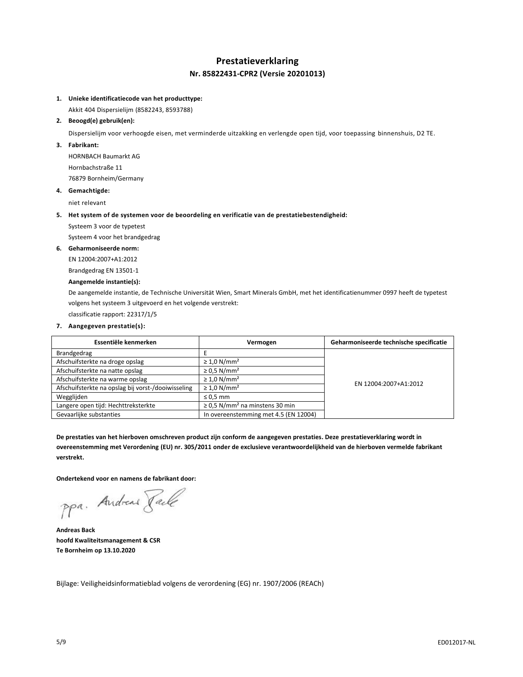# **Prestatieverklaring Nr. 85822431-CPR2 (Versie 20201013)**

# **1. Unieke identificatiecode van het producttype:**

Akkit 404 Dispersielijm (8582243, 8593788)

# **2. Beoogd(e) gebruik(en):**

Dispersielijm voor verhoogde eisen, met verminderde uitzakking en verlengde open tijd, voor toepassing binnenshuis, D2 TE.

# **3. Fabrikant:**

HORNBACH Baumarkt AG Hornbachstraße 11 76879 Bornheim/Germany

## **4. Gemachtigde:**

niet relevant

## **5. Het system of de systemen voor de beoordeling en verificatie van de prestatiebestendigheid:**

Systeem 3 voor de typetest

Systeem 4 voor het brandgedrag

# **6. Geharmoniseerde norm:**

EN 12004:2007+A1:2012

Brandgedrag EN 13501-1

# **Aangemelde instantie(s):**

De aangemelde instantie, de Technische Universität Wien, Smart Minerals GmbH, met het identificatienummer 0997 heeft de typetest volgens het systeem 3 uitgevoerd en het volgende verstrekt:

classificatie rapport: 22317/1/5

# **7. Aangegeven prestatie(s):**

| Essentiële kenmerken                               | Vermogen                                        | Geharmoniseerde technische specificatie |
|----------------------------------------------------|-------------------------------------------------|-----------------------------------------|
| Brandgedrag                                        |                                                 |                                         |
| Afschuifsterkte na droge opslag                    | $\geq 1.0$ N/mm <sup>2</sup>                    | EN 12004:2007+A1:2012                   |
| Afschuifsterkte na natte opslag                    | $\geq$ 0.5 N/mm <sup>2</sup>                    |                                         |
| Afschuifsterkte na warme opslag                    | $\geq 1.0$ N/mm <sup>2</sup>                    |                                         |
| Afschuifsterkte na opslag bij vorst-/dooiwisseling | $\geq 1.0$ N/mm <sup>2</sup>                    |                                         |
| Wegglijden                                         | $\leq 0.5$ mm                                   |                                         |
| Langere open tijd: Hechttreksterkte                | $\geq$ 0.5 N/mm <sup>2</sup> na minstens 30 min |                                         |
| Gevaarlijke substanties                            | In overeenstemming met 4.5 (EN 12004)           |                                         |

**De prestaties van het hierboven omschreven product zijn conform de aangegeven prestaties. Deze prestatieverklaring wordt in overeenstemming met Verordening (EU) nr. 305/2011 onder de exclusieve verantwoordelijkheid van de hierboven vermelde fabrikant verstrekt.**

**Ondertekend voor en namens de fabrikant door:**

ppa. Andreas Pale

**Andreas Back hoofd Kwaliteitsmanagement & CSR Te Bornheim op 13.10.2020**

Bijlage: Veiligheidsinformatieblad volgens de verordening (EG) nr. 1907/2006 (REACh)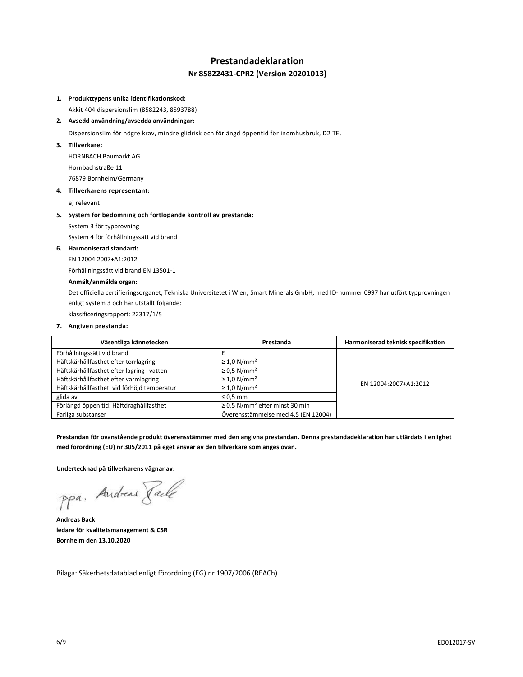# **Prestandadeklaration Nr 85822431-CPR2 (Version 20201013)**

# **1. Produkttypens unika identifikationskod:**

Akkit 404 dispersionslim (8582243, 8593788)

# **2. Avsedd användning/avsedda användningar:**

Dispersionslim för högre krav, mindre glidrisk och förlängd öppentid för inomhusbruk, D2 TE.

**3. Tillverkare:**

HORNBACH Baumarkt AG Hornbachstraße 11 76879 Bornheim/Germany

#### **4. Tillverkarens representant:**

ej relevant

## **5. System för bedömning och fortlöpande kontroll av prestanda:**

System 3 för typprovning

System 4 för förhållningssätt vid brand

# **6. Harmoniserad standard:**

EN 12004:2007+A1:2012

Förhållningssätt vid brand EN 13501-1

## **Anmält/anmälda organ:**

Det officiella certifieringsorganet, Tekniska Universitetet i Wien, Smart Minerals GmbH, med ID-nummer 0997 har utfört typprovningen enligt system 3 och har utställt följande:

klassificeringsrapport: 22317/1/5

#### **7. Angiven prestanda:**

| Väsentliga kännetecken                     | Prestanda                                       | Harmoniserad teknisk specifikation |
|--------------------------------------------|-------------------------------------------------|------------------------------------|
| Förhållningssätt vid brand                 |                                                 |                                    |
| Häftskärhållfasthet efter torrlagring      | $\geq 1.0$ N/mm <sup>2</sup>                    |                                    |
| Häftskärhållfasthet efter lagring i vatten | $\geq$ 0.5 N/mm <sup>2</sup>                    |                                    |
| Häftskärhållfasthet efter varmlagring      | $\geq 1.0$ N/mm <sup>2</sup>                    | EN 12004:2007+A1:2012              |
| Häftskärhållfasthet vid förhöjd temperatur | $\geq 1.0$ N/mm <sup>2</sup>                    |                                    |
| glida av                                   | $\leq 0.5$ mm                                   |                                    |
| Förlängd öppen tid: Häftdraghållfasthet    | $\geq$ 0,5 N/mm <sup>2</sup> efter minst 30 min |                                    |
| Farliga substanser                         | Överensstämmelse med 4.5 (EN 12004)             |                                    |

**Prestandan för ovanstående produkt överensstämmer med den angivna prestandan. Denna prestandadeklaration har utfärdats i enlighet med förordning (EU) nr 305/2011 på eget ansvar av den tillverkare som anges ovan.**

**Undertecknad på tillverkarens vägnar av:**

ppa. Andreas Paule

**Andreas Back ledare för kvalitetsmanagement & CSR Bornheim den 13.10.2020**

Bilaga: Säkerhetsdatablad enligt förordning (EG) nr 1907/2006 (REACh)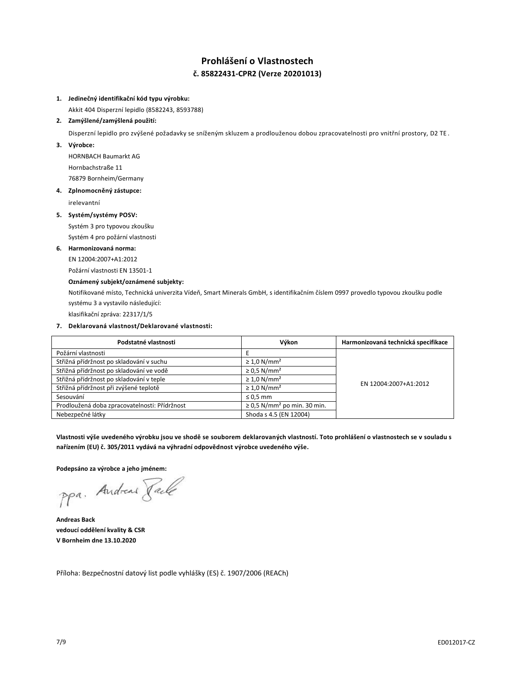# **Prohlášení o Vlastnostech č. 85822431-CPR2 (Verze 20201013)**

# **1. Jedinečný identifikační kód typu výrobku:**

Akkit 404 Disperzní lepidlo (8582243, 8593788)

# **2. Zamýšlené/zamýšlená použití:**

Disperzní lepidlo pro zvýšené požadavky se sníženým skluzem a prodlouženou dobou zpracovatelnosti pro vnitřní prostory, D2 TE.

**3. Výrobce:**

HORNBACH Baumarkt AG Hornbachstraße 11 76879 Bornheim/Germany

# **4. Zplnomocněný zástupce:**

irelevantní

# **5. Systém/systémy POSV:**

Systém 3 pro typovou zkoušku

Systém 4 pro požární vlastnosti

# **6. Harmonizovaná norma:**

EN 12004:2007+A1:2012

Požární vlastnosti EN 13501-1

# **Oznámený subjekt/oznámené subjekty:**

Notifikované místo, Technická univerzita Vídeň, Smart Minerals GmbH, s identifikačním číslem 0997 provedlo typovou zkoušku podle systému 3 a vystavilo následující:

klasifikační zpráva: 22317/1/5

# **7. Deklarovaná vlastnost/Deklarované vlastnosti:**

| Podstatné vlastnosti                          | Výkon                                        | Harmonizovaná technická specifikace |
|-----------------------------------------------|----------------------------------------------|-------------------------------------|
| Požární vlastnosti                            |                                              | EN 12004:2007+A1:2012               |
| Střižná přídržnost po skladování v suchu      | $\geq 1.0$ N/mm <sup>2</sup>                 |                                     |
| Střižná přídržnost po skladování ve vodě      | $\geq$ 0.5 N/mm <sup>2</sup>                 |                                     |
| Střižná přídržnost po skladování v teple      | $\geq 1.0$ N/mm <sup>2</sup>                 |                                     |
| Střižná přídržnost při zvýšené teplotě        | $\geq 1.0$ N/mm <sup>2</sup>                 |                                     |
| Sesouvání                                     | $\leq 0.5$ mm                                |                                     |
| Prodloužená doba zpracovatelnosti: Přídržnost | $\geq$ 0.5 N/mm <sup>2</sup> po min. 30 min. |                                     |
| Nebezpečné látky                              | Shoda s 4.5 (EN 12004)                       |                                     |

**Vlastnosti výše uvedeného výrobku jsou ve shodě se souborem deklarovaných vlastností. Toto prohlášení o vlastnostech se v souladu s nařízením (EU) č. 305/2011 vydává na výhradní odpovědnost výrobce uvedeného výše.**

**Podepsáno za výrobce a jeho jménem:**

ppa. Andreas Tack

**Andreas Back vedoucí oddělení kvality & CSR V Bornheim dne 13.10.2020**

Příloha: Bezpečnostní datový list podle vyhlášky (ES) č. 1907/2006 (REACh)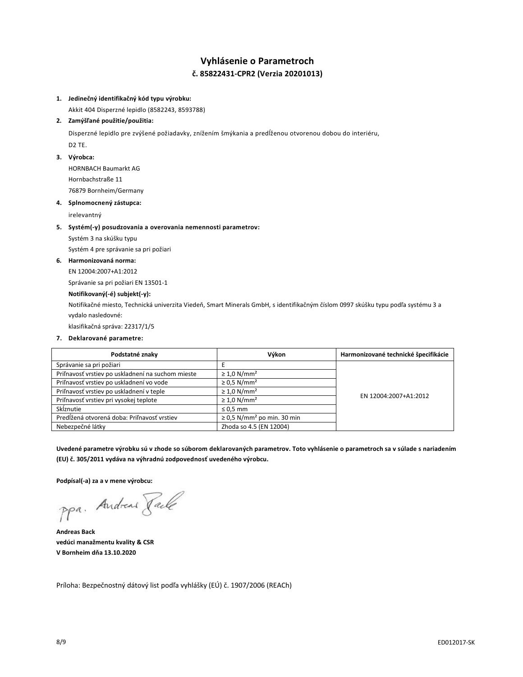# **Vyhlásenie o Parametroch č. 85822431-CPR2 (Verzia 20201013)**

# **1. Jedinečný identifikačný kód typu výrobku:**

Akkit 404 Disperzné lepidlo (8582243, 8593788)

# **2. Zamýšľané použitie/použitia:**

Disperzné lepidlo pre zvýšené požiadavky, znížením šmýkania a predĺženou otvorenou dobou do interiéru, D2 TE.

# **3. Výrobca:**

HORNBACH Baumarkt AG Hornbachstraße 11 76879 Bornheim/Germany

## **4. Splnomocnený zástupca:**

irelevantný

## **5. Systém(-y) posudzovania a overovania nemennosti parametrov:**

Systém 3 na skúšku typu

Systém 4 pre správanie sa pri požiari

# **6. Harmonizovaná norma:**

EN 12004:2007+A1:2012

Správanie sa pri požiari EN 13501-1

# **Notifikovaný(-é) subjekt(-y):**

Notifikačné miesto, Technická univerzita Viedeň, Smart Minerals GmbH, s identifikačným číslom 0997 skúšku typu podľa systému 3 a vydalo nasledovné:

klasifikačná správa: 22317/1/5

### **7. Deklarované parametre:**

| Podstatné znaky                                   | Výkon                                       | Harmonizované technické špecifikácie |
|---------------------------------------------------|---------------------------------------------|--------------------------------------|
| Správanie sa pri požiari                          |                                             | EN 12004:2007+A1:2012                |
| Priľnavosť vrstiev po uskladnení na suchom mieste | $\geq 1.0$ N/mm <sup>2</sup>                |                                      |
| Priľnavosť vrstiev po uskladnení vo vode          | $\geq$ 0.5 N/mm <sup>2</sup>                |                                      |
| Priľnavosť vrstiev po uskladnení v teple          | $\geq 1.0$ N/mm <sup>2</sup>                |                                      |
| Priľnavosť vrstiev pri vysokej teplote            | $\geq 1.0$ N/mm <sup>2</sup>                |                                      |
| Sklznutie                                         | $\leq 0.5$ mm                               |                                      |
| Predĺžená otvorená doba: Priľnavosť vrstiev       | $\geq$ 0.5 N/mm <sup>2</sup> po min. 30 min |                                      |
| Nebezpečné látky                                  | Zhoda so 4.5 (EN 12004)                     |                                      |

**Uvedené parametre výrobku sú v zhode so súborom deklarovaných parametrov. Toto vyhlásenie o parametroch sa v súlade s nariadením (EU) č. 305/2011 vydáva na výhradnú zodpovednosť uvedeného výrobcu.**

**Podpísal(-a) za a v mene výrobcu:**

ppa. Andreas Pale

**Andreas Back vedúci manažmentu kvality & CSR V Bornheim dňa 13.10.2020**

Príloha: Bezpečnostný dátový list podľa vyhlášky (EÚ) č. 1907/2006 (REACh)